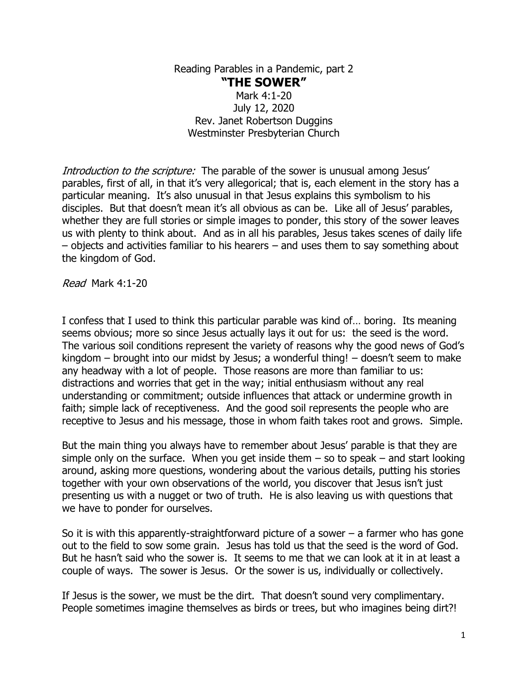Reading Parables in a Pandemic, part 2 **"THE SOWER"** Mark 4:1-20 July 12, 2020 Rev. Janet Robertson Duggins Westminster Presbyterian Church

Introduction to the scripture: The parable of the sower is unusual among Jesus' parables, first of all, in that it's very allegorical; that is, each element in the story has a particular meaning. It's also unusual in that Jesus explains this symbolism to his disciples. But that doesn't mean it's all obvious as can be. Like all of Jesus' parables, whether they are full stories or simple images to ponder, this story of the sower leaves us with plenty to think about. And as in all his parables, Jesus takes scenes of daily life – objects and activities familiar to his hearers – and uses them to say something about the kingdom of God.

Read Mark 4:1-20

I confess that I used to think this particular parable was kind of… boring. Its meaning seems obvious; more so since Jesus actually lays it out for us: the seed is the word. The various soil conditions represent the variety of reasons why the good news of God's kingdom – brought into our midst by Jesus; a wonderful thing! – doesn't seem to make any headway with a lot of people. Those reasons are more than familiar to us: distractions and worries that get in the way; initial enthusiasm without any real understanding or commitment; outside influences that attack or undermine growth in faith; simple lack of receptiveness. And the good soil represents the people who are receptive to Jesus and his message, those in whom faith takes root and grows. Simple.

But the main thing you always have to remember about Jesus' parable is that they are simple only on the surface. When you get inside them  $-$  so to speak  $-$  and start looking around, asking more questions, wondering about the various details, putting his stories together with your own observations of the world, you discover that Jesus isn't just presenting us with a nugget or two of truth. He is also leaving us with questions that we have to ponder for ourselves.

So it is with this apparently-straightforward picture of a sower  $-$  a farmer who has gone out to the field to sow some grain. Jesus has told us that the seed is the word of God. But he hasn't said who the sower is. It seems to me that we can look at it in at least a couple of ways. The sower is Jesus. Or the sower is us, individually or collectively.

If Jesus is the sower, we must be the dirt. That doesn't sound very complimentary. People sometimes imagine themselves as birds or trees, but who imagines being dirt?!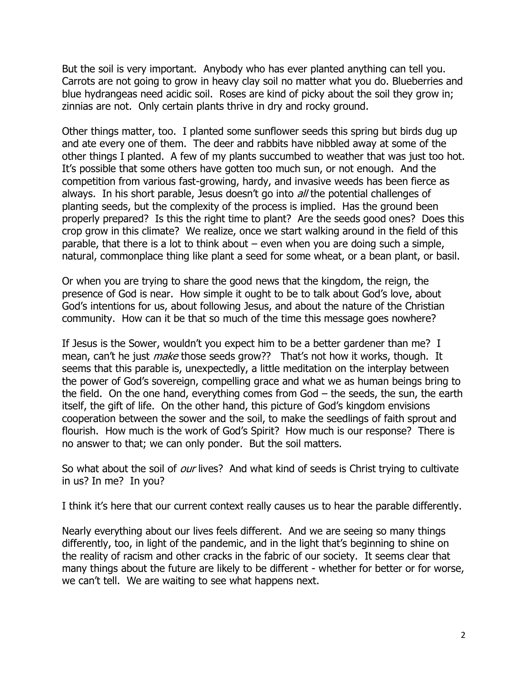But the soil is very important. Anybody who has ever planted anything can tell you. Carrots are not going to grow in heavy clay soil no matter what you do. Blueberries and blue hydrangeas need acidic soil. Roses are kind of picky about the soil they grow in; zinnias are not. Only certain plants thrive in dry and rocky ground.

Other things matter, too. I planted some sunflower seeds this spring but birds dug up and ate every one of them. The deer and rabbits have nibbled away at some of the other things I planted. A few of my plants succumbed to weather that was just too hot. It's possible that some others have gotten too much sun, or not enough. And the competition from various fast-growing, hardy, and invasive weeds has been fierce as always. In his short parable, Jesus doesn't go into *all* the potential challenges of planting seeds, but the complexity of the process is implied. Has the ground been properly prepared? Is this the right time to plant? Are the seeds good ones? Does this crop grow in this climate? We realize, once we start walking around in the field of this parable, that there is a lot to think about – even when you are doing such a simple, natural, commonplace thing like plant a seed for some wheat, or a bean plant, or basil.

Or when you are trying to share the good news that the kingdom, the reign, the presence of God is near. How simple it ought to be to talk about God's love, about God's intentions for us, about following Jesus, and about the nature of the Christian community. How can it be that so much of the time this message goes nowhere?

If Jesus is the Sower, wouldn't you expect him to be a better gardener than me? I mean, can't he just *make* those seeds grow?? That's not how it works, though. It seems that this parable is, unexpectedly, a little meditation on the interplay between the power of God's sovereign, compelling grace and what we as human beings bring to the field. On the one hand, everything comes from God – the seeds, the sun, the earth itself, the gift of life. On the other hand, this picture of God's kingdom envisions cooperation between the sower and the soil, to make the seedlings of faith sprout and flourish. How much is the work of God's Spirit? How much is our response? There is no answer to that; we can only ponder. But the soil matters.

So what about the soil of *our* lives? And what kind of seeds is Christ trying to cultivate in us? In me? In you?

I think it's here that our current context really causes us to hear the parable differently.

Nearly everything about our lives feels different. And we are seeing so many things differently, too, in light of the pandemic, and in the light that's beginning to shine on the reality of racism and other cracks in the fabric of our society. It seems clear that many things about the future are likely to be different - whether for better or for worse, we can't tell. We are waiting to see what happens next.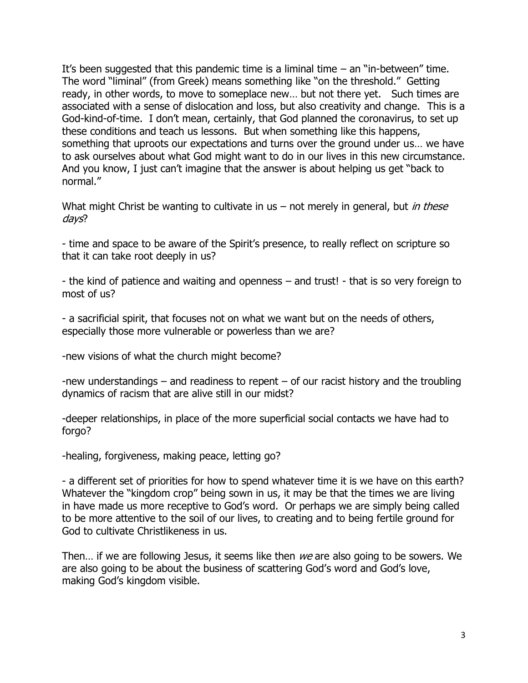It's been suggested that this pandemic time is a liminal time  $-$  an "in-between" time. The word "liminal" (from Greek) means something like "on the threshold." Getting ready, in other words, to move to someplace new… but not there yet. Such times are associated with a sense of dislocation and loss, but also creativity and change. This is a God-kind-of-time. I don't mean, certainly, that God planned the coronavirus, to set up these conditions and teach us lessons. But when something like this happens, something that uproots our expectations and turns over the ground under us… we have to ask ourselves about what God might want to do in our lives in this new circumstance. And you know, I just can't imagine that the answer is about helping us get "back to normal."

What might Christ be wanting to cultivate in us – not merely in general, but in these days?

- time and space to be aware of the Spirit's presence, to really reflect on scripture so that it can take root deeply in us?

- the kind of patience and waiting and openness – and trust! - that is so very foreign to most of us?

- a sacrificial spirit, that focuses not on what we want but on the needs of others, especially those more vulnerable or powerless than we are?

-new visions of what the church might become?

-new understandings – and readiness to repent – of our racist history and the troubling dynamics of racism that are alive still in our midst?

-deeper relationships, in place of the more superficial social contacts we have had to forgo?

-healing, forgiveness, making peace, letting go?

- a different set of priorities for how to spend whatever time it is we have on this earth? Whatever the "kingdom crop" being sown in us, it may be that the times we are living in have made us more receptive to God's word. Or perhaps we are simply being called to be more attentive to the soil of our lives, to creating and to being fertile ground for God to cultivate Christlikeness in us.

Then... if we are following Jesus, it seems like then we are also going to be sowers. We are also going to be about the business of scattering God's word and God's love, making God's kingdom visible.